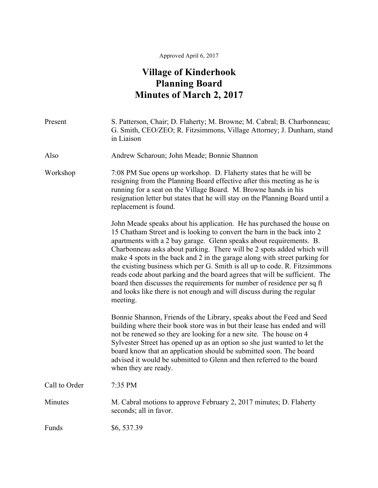## Approved April 6, 2017

## **Village of Kinderhook Planning Board Minutes of March 2, 2017**

| Present       | S. Patterson, Chair; D. Flaherty; M. Browne; M. Cabral; B. Charbonneau;<br>G. Smith, CEO/ZEO; R. Fitzsimmons, Village Attorney; J. Dunham, stand<br>in Liaison                                                                                                                                                                                                                                                                                                                                                                                                                                                                                                                                                |
|---------------|---------------------------------------------------------------------------------------------------------------------------------------------------------------------------------------------------------------------------------------------------------------------------------------------------------------------------------------------------------------------------------------------------------------------------------------------------------------------------------------------------------------------------------------------------------------------------------------------------------------------------------------------------------------------------------------------------------------|
| Also          | Andrew Scharoun; John Meade; Bonnie Shannon                                                                                                                                                                                                                                                                                                                                                                                                                                                                                                                                                                                                                                                                   |
| Workshop      | 7:08 PM Sue opens up workshop. D. Flaherty states that he will be<br>resigning from the Planning Board effective after this meeting as he is<br>running for a seat on the Village Board. M. Browne hands in his<br>resignation letter but states that he will stay on the Planning Board until a<br>replacement is found.                                                                                                                                                                                                                                                                                                                                                                                     |
|               | John Meade speaks about his application. He has purchased the house on<br>15 Chatham Street and is looking to convert the barn in the back into 2<br>apartments with a 2 bay garage. Glenn speaks about requirements. B.<br>Charbonneau asks about parking. There will be 2 spots added which will<br>make 4 spots in the back and 2 in the garage along with street parking for<br>the existing business which per G. Smith is all up to code. R. Fitzsimmons<br>reads code about parking and the board agrees that will be sufficient. The<br>board then discusses the requirements for number of residence per sq ft<br>and looks like there is not enough and will discuss during the regular<br>meeting. |
|               | Bonnie Shannon, Friends of the Library, speaks about the Feed and Seed<br>building where their book store was in but their lease has ended and will<br>not be renewed so they are looking for a new site. The house on 4<br>Sylvester Street has opened up as an option so she just wanted to let the<br>board know that an application should be submitted soon. The board<br>advised it would be submitted to Glenn and then referred to the board<br>when they are ready.                                                                                                                                                                                                                                  |
| Call to Order | 7:35 PM                                                                                                                                                                                                                                                                                                                                                                                                                                                                                                                                                                                                                                                                                                       |
| Minutes       | M. Cabral motions to approve February 2, 2017 minutes; D. Flaherty<br>seconds; all in favor.                                                                                                                                                                                                                                                                                                                                                                                                                                                                                                                                                                                                                  |
| Funds         | \$6,537.39                                                                                                                                                                                                                                                                                                                                                                                                                                                                                                                                                                                                                                                                                                    |